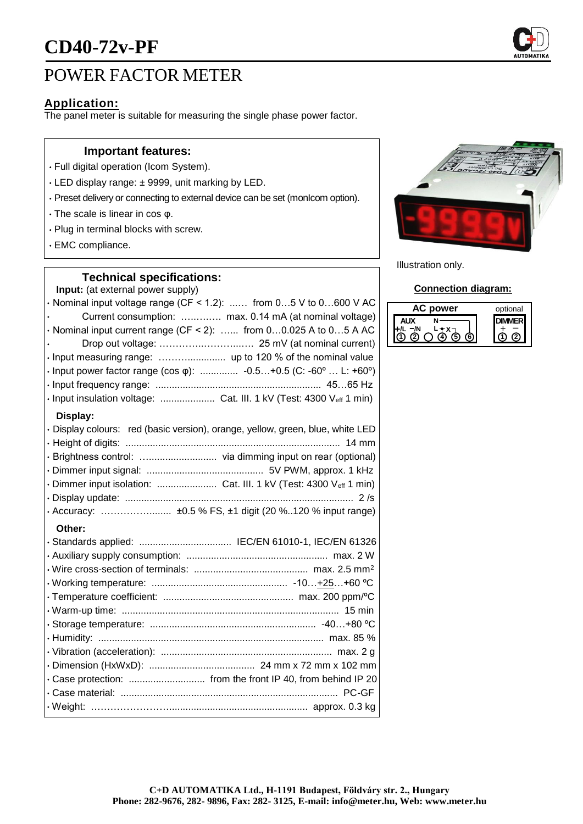

# POWER FACTOR METER

# **Application:**

The panel meter is suitable for measuring the single phase power factor.

## **Important features:**

- Full digital operation (Icom System).
- LED display range: ± 9999, unit marking by LED.
- Preset delivery or connecting to external device can be set (monIcom option).
- The scale is linear in cos φ.
- Plug in terminal blocks with screw.
- EMC compliance.

### **Technical specifications:**

**Input:** (at external power supply)

| · Nominal input voltage range (CF < 1.2):  from 05 V to 0600 V AC              |
|--------------------------------------------------------------------------------|
| Current consumption:  max. 0.14 mA (at nominal voltage)                        |
| $\cdot$ Nominal input current range (CF < 2):  from 00.025 A to 05 A AC        |
|                                                                                |
| · Input measuring range:  up to 120 % of the nominal value                     |
| • Input power factor range (cos $\varphi$ ):  -0.5+0.5 (C: -60°  L: +60°)      |
|                                                                                |
| · Input insulation voltage:  Cat. III. 1 kV (Test: 4300 Veff 1 min)            |
| Display:                                                                       |
| · Display colours: red (basic version), orange, yellow, green, blue, white LED |
|                                                                                |
|                                                                                |
|                                                                                |
| · Dimmer input isolation:  Cat. III. 1 kV (Test: 4300 Veff 1 min)              |
|                                                                                |
| · Accuracy:  ±0.5 % FS, ±1 digit (20 %120 % input range)                       |
| Other:                                                                         |
| · Standards applied:  IEC/EN 61010-1, IEC/EN 61326                             |
|                                                                                |
|                                                                                |
|                                                                                |
|                                                                                |
|                                                                                |

• Storage temperature: ............................................................. -40…+80 ºC • Humidity: ................................................................................... max. 85 % • Vibration (acceleration): ............................................................... max. 2 g • Dimension (HxWxD): ....................................... 24 mm x 72 mm x 102 mm • Case protection: ............................ from the front IP 40, from behind IP 20 • Case material: ................................................................................ PC-GF • Weight: ……………………................................................... approx. 0.3 kg



Illustration only.

#### **Connection diagram:**

| power | optional |
|-------|----------|
|       |          |